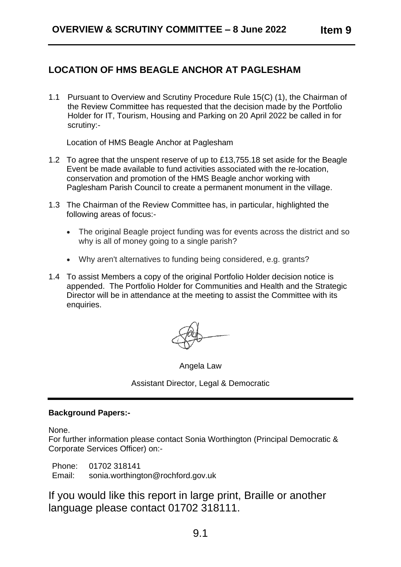# **LOCATION OF HMS BEAGLE ANCHOR AT PAGLESHAM**

1.1 Pursuant to Overview and Scrutiny Procedure Rule 15(C) (1), the Chairman of the Review Committee has requested that the decision made by the Portfolio Holder for IT, Tourism, Housing and Parking on 20 April 2022 be called in for scrutiny:-

Location of HMS Beagle Anchor at Paglesham

- 1.2 To agree that the unspent reserve of up to £13,755.18 set aside for the Beagle Event be made available to fund activities associated with the re-location, conservation and promotion of the HMS Beagle anchor working with Paglesham Parish Council to create a permanent monument in the village.
- 1.3 The Chairman of the Review Committee has, in particular, highlighted the following areas of focus:-
	- The original Beagle project funding was for events across the district and so why is all of money going to a single parish?
	- Why aren't alternatives to funding being considered, e.g. grants?
- 1.4 To assist Members a copy of the original Portfolio Holder decision notice is appended. The Portfolio Holder for Communities and Health and the Strategic Director will be in attendance at the meeting to assist the Committee with its enquiries.

Angela Law

Assistant Director, Legal & Democratic

### **Background Papers:-**

None.

For further information please contact Sonia Worthington (Principal Democratic & Corporate Services Officer) on:-

Phone: 01702 318141 Email: sonia.worthington@rochford.gov.uk

If you would like this report in large print, Braille or another language please contact 01702 318111.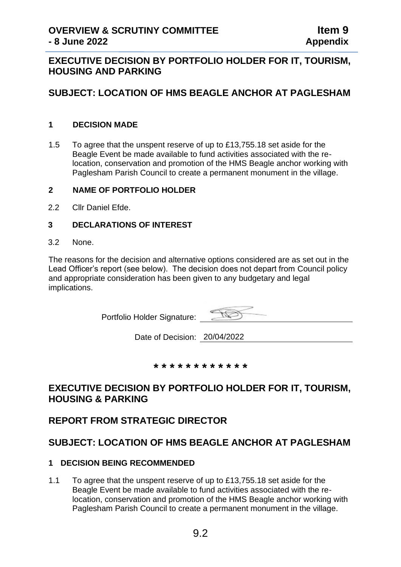# **EXECUTIVE DECISION BY PORTFOLIO HOLDER FOR IT, TOURISM, HOUSING AND PARKING**

# **SUBJECT: LOCATION OF HMS BEAGLE ANCHOR AT PAGLESHAM**

### **1 DECISION MADE**

1.5 To agree that the unspent reserve of up to £13,755.18 set aside for the Beagle Event be made available to fund activities associated with the relocation, conservation and promotion of the HMS Beagle anchor working with Paglesham Parish Council to create a permanent monument in the village.

#### **2 NAME OF PORTFOLIO HOLDER**

2.2 Cllr Daniel Efde.

#### **3 DECLARATIONS OF INTEREST**

3.2 None.

The reasons for the decision and alternative options considered are as set out in the Lead Officer's report (see below). The decision does not depart from Council policy and appropriate consideration has been given to any budgetary and legal implications.

Portfolio Holder Signature:

Date of Decision: 20/04/2022

**\* \* \* \* \* \* \* \* \* \* \* \***

# **EXECUTIVE DECISION BY PORTFOLIO HOLDER FOR IT, TOURISM, HOUSING & PARKING**

## **REPORT FROM STRATEGIC DIRECTOR**

# **SUBJECT: LOCATION OF HMS BEAGLE ANCHOR AT PAGLESHAM**

#### **1 DECISION BEING RECOMMENDED**

1.1 To agree that the unspent reserve of up to £13,755.18 set aside for the Beagle Event be made available to fund activities associated with the relocation, conservation and promotion of the HMS Beagle anchor working with Paglesham Parish Council to create a permanent monument in the village.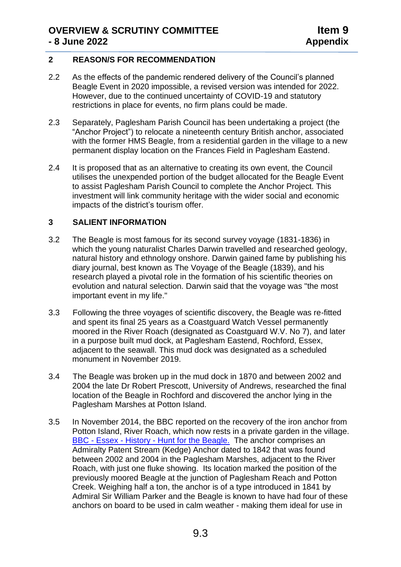### **2 REASON/S FOR RECOMMENDATION**

- 2.2 As the effects of the pandemic rendered delivery of the Council's planned Beagle Event in 2020 impossible, a revised version was intended for 2022. However, due to the continued uncertainty of COVID-19 and statutory restrictions in place for events, no firm plans could be made.
- 2.3 Separately, Paglesham Parish Council has been undertaking a project (the "Anchor Project") to relocate a nineteenth century British anchor, associated with the former HMS Beagle, from a residential garden in the village to a new permanent display location on the Frances Field in Paglesham Eastend.
- 2.4 It is proposed that as an alternative to creating its own event, the Council utilises the unexpended portion of the budget allocated for the Beagle Event to assist Paglesham Parish Council to complete the Anchor Project. This investment will link community heritage with the wider social and economic impacts of the district's tourism offer.

## **3 SALIENT INFORMATION**

- 3.2 The Beagle is most famous for its second survey voyage (1831-1836) in which the young naturalist Charles Darwin travelled and researched geology, natural history and ethnology onshore. Darwin gained fame by publishing his diary journal, best known as The Voyage of the Beagle (1839), and his research played a pivotal role in the formation of his scientific theories on evolution and natural selection. Darwin said that the voyage was "the most important event in my life."
- 3.3 Following the three voyages of scientific discovery, the Beagle was re-fitted and spent its final 25 years as a Coastguard Watch Vessel permanently moored in the River Roach (designated as Coastguard W.V. No 7), and later in a purpose built mud dock, at Paglesham Eastend, Rochford, Essex, adjacent to the seawall. This mud dock was designated as a scheduled monument in November 2019.
- 3.4 The Beagle was broken up in the mud dock in 1870 and between 2002 and 2004 the late Dr Robert Prescott, University of Andrews, researched the final location of the Beagle in Rochford and discovered the anchor lying in the Paglesham Marshes at Potton Island.
- 3.5 In November 2014, the BBC reported on the recovery of the iron anchor from Potton Island, River Roach, which now rests in a private garden in the village. BBC - Essex - History - [Hunt for the Beagle.](https://www.bbc.co.uk/essex/content/articles/2009/02/12/pagglesham_beagle_feature.shtml) The anchor comprises an Admiralty Patent Stream (Kedge) Anchor dated to 1842 that was found between 2002 and 2004 in the Paglesham Marshes, adjacent to the River Roach, with just one fluke showing. Its location marked the position of the previously moored Beagle at the junction of Paglesham Reach and Potton Creek. Weighing half a ton, the anchor is of a type introduced in 1841 by Admiral Sir William Parker and the Beagle is known to have had four of these anchors on board to be used in calm weather - making them ideal for use in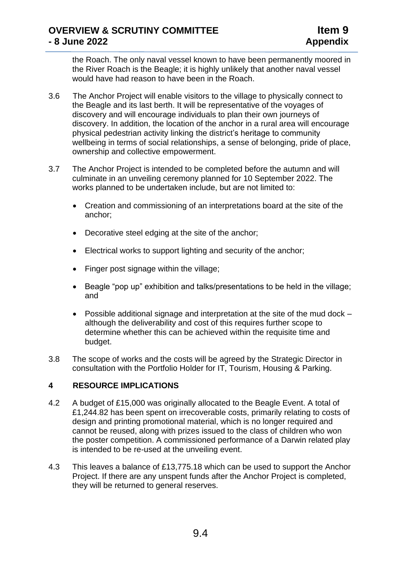the Roach. The only naval vessel known to have been permanently moored in the River Roach is the Beagle; it is highly unlikely that another naval vessel would have had reason to have been in the Roach.

- 3.6 The Anchor Project will enable visitors to the village to physically connect to the Beagle and its last berth. It will be representative of the voyages of discovery and will encourage individuals to plan their own journeys of discovery. In addition, the location of the anchor in a rural area will encourage physical pedestrian activity linking the district's heritage to community wellbeing in terms of social relationships, a sense of belonging, pride of place, ownership and collective empowerment.
- 3.7 The Anchor Project is intended to be completed before the autumn and will culminate in an unveiling ceremony planned for 10 September 2022. The works planned to be undertaken include, but are not limited to:
	- Creation and commissioning of an interpretations board at the site of the anchor;
	- Decorative steel edging at the site of the anchor;
	- Electrical works to support lighting and security of the anchor;
	- Finger post signage within the village;
	- Beagle "pop up" exhibition and talks/presentations to be held in the village; and
	- Possible additional signage and interpretation at the site of the mud dock although the deliverability and cost of this requires further scope to determine whether this can be achieved within the requisite time and budget.
- 3.8 The scope of works and the costs will be agreed by the Strategic Director in consultation with the Portfolio Holder for IT, Tourism, Housing & Parking.

#### **4 RESOURCE IMPLICATIONS**

- 4.2 A budget of £15,000 was originally allocated to the Beagle Event. A total of £1,244.82 has been spent on irrecoverable costs, primarily relating to costs of design and printing promotional material, which is no longer required and cannot be reused, along with prizes issued to the class of children who won the poster competition. A commissioned performance of a Darwin related play is intended to be re-used at the unveiling event.
- 4.3 This leaves a balance of £13,775.18 which can be used to support the Anchor Project. If there are any unspent funds after the Anchor Project is completed, they will be returned to general reserves.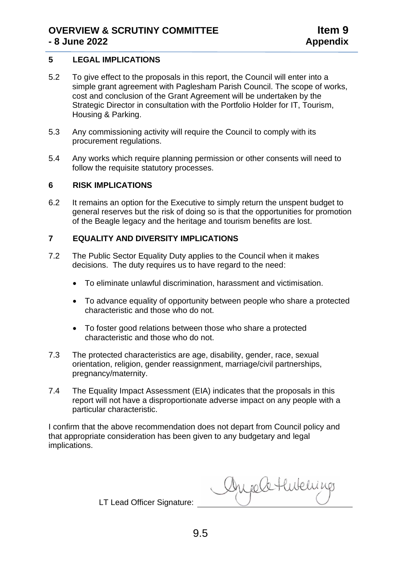### **5 LEGAL IMPLICATIONS**

- 5.2 To give effect to the proposals in this report, the Council will enter into a simple grant agreement with Paglesham Parish Council. The scope of works, cost and conclusion of the Grant Agreement will be undertaken by the Strategic Director in consultation with the Portfolio Holder for IT, Tourism, Housing & Parking.
- 5.3 Any commissioning activity will require the Council to comply with its procurement regulations.
- 5.4 Any works which require planning permission or other consents will need to follow the requisite statutory processes.

#### **6 RISK IMPLICATIONS**

6.2 It remains an option for the Executive to simply return the unspent budget to general reserves but the risk of doing so is that the opportunities for promotion of the Beagle legacy and the heritage and tourism benefits are lost.

## **7 EQUALITY AND DIVERSITY IMPLICATIONS**

- 7.2 The Public Sector Equality Duty applies to the Council when it makes decisions. The duty requires us to have regard to the need:
	- To eliminate unlawful discrimination, harassment and victimisation.
	- To advance equality of opportunity between people who share a protected characteristic and those who do not.
	- To foster good relations between those who share a protected characteristic and those who do not.
- 7.3 The protected characteristics are age, disability, gender, race, sexual orientation, religion, gender reassignment, marriage/civil partnerships, pregnancy/maternity.
- 7.4 The Equality Impact Assessment (EIA) indicates that the proposals in this report will not have a disproportionate adverse impact on any people with a particular characteristic.

I confirm that the above recommendation does not depart from Council policy and that appropriate consideration has been given to any budgetary and legal implications.

LT Lead Officer Signature:

Augele Hubelings